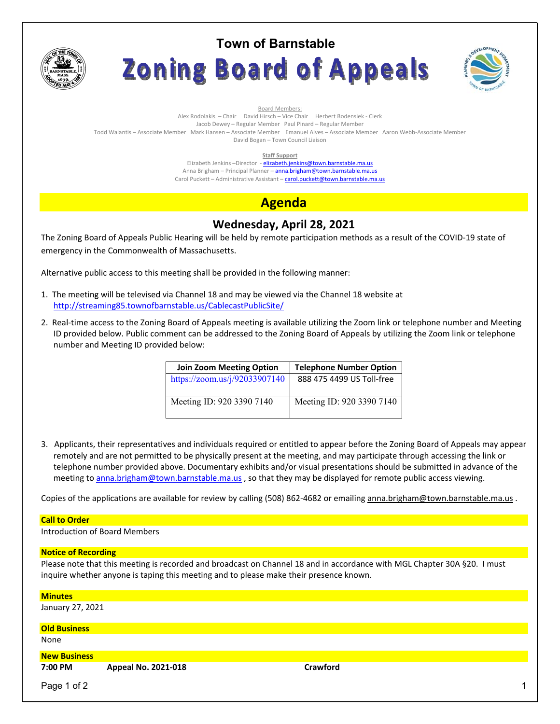

# **Town of Barnstable Zoning Board of Appeals**



Board Members: Alex Rodolakis – Chair David Hirsch – Vice Chair Herbert Bodensiek - Clerk Jacob Dewey – Regular Member Paul Pinard – Regular Member Todd Walantis – Associate Member Mark Hansen – Associate Member Emanuel Alves – Associate Member Aaron Webb-Associate Member David Bogan – Town Council Liaison

**Staff Support** 

Elizabeth Jenkins -Director - elizabeth.jenkins@town.barnstable.ma.us Anna Brigham - Principal Planner - anna.brigham@town.barnstable.ma.us Carol Puckett – Administrative Assistant – carol.puckett@town.barnstable.ma.us

# **Agenda**

## **Wednesday, April 28, 2021**

The Zoning Board of Appeals Public Hearing will be held by remote participation methods as a result of the COVID-19 state of emergency in the Commonwealth of Massachusetts.

Alternative public access to this meeting shall be provided in the following manner:

- 1. The meeting will be televised via Channel 18 and may be viewed via the Channel 18 website at http://streaming85.townofbarnstable.us/CablecastPublicSite/
- 2. Real-time access to the Zoning Board of Appeals meeting is available utilizing the Zoom link or telephone number and Meeting ID provided below. Public comment can be addressed to the Zoning Board of Appeals by utilizing the Zoom link or telephone number and Meeting ID provided below:

| <b>Join Zoom Meeting Option</b> | <b>Telephone Number Option</b> |
|---------------------------------|--------------------------------|
| https://zoom.us/j/92033907140   | 888 475 4499 US Toll-free      |
| Meeting ID: 920 3390 7140       | Meeting ID: 920 3390 7140      |

3. Applicants, their representatives and individuals required or entitled to appear before the Zoning Board of Appeals may appear remotely and are not permitted to be physically present at the meeting, and may participate through accessing the link or telephone number provided above. Documentary exhibits and/or visual presentations should be submitted in advance of the meeting to anna.brigham@town.barnstable.ma.us , so that they may be displayed for remote public access viewing.

Copies of the applications are available for review by calling (508) 862-4682 or emailing anna.brigham@town.barnstable.ma.us.

#### **Call to Order**

Introduction of Board Members

#### **Notice of Recording**

Please note that this meeting is recorded and broadcast on Channel 18 and in accordance with MGL Chapter 30A §20. I must inquire whether anyone is taping this meeting and to please make their presence known.

| <b>Minutes</b><br>January 27, 2021 |                     |          |  |
|------------------------------------|---------------------|----------|--|
| <b>Old Business</b><br>None        |                     |          |  |
| <b>New Business</b><br>7:00 PM     | Appeal No. 2021-018 | Crawford |  |
| Page 1 of 2                        |                     |          |  |